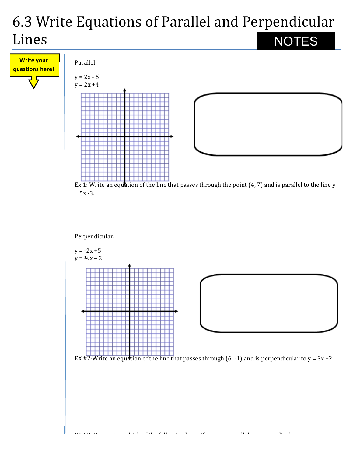## 6.3 Write Equations of Parallel and Perpendicular Lines NOTES

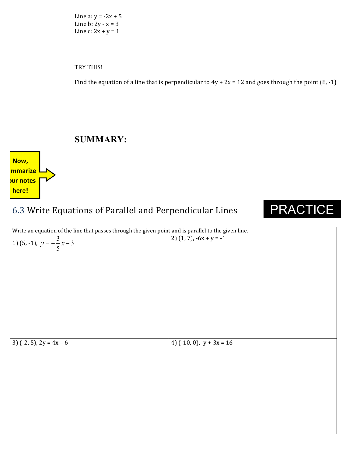Line a:  $y = -2x + 5$ Line  $b: 2y - x = 3$ Line  $c: 2x + y = 1$ 

TRY THIS!

Find the equation of a line that is perpendicular to  $4y + 2x = 12$  and goes through the point  $(8, -1)$ 

## **SUMMARY:**

Now, mmarize <mark>ur notes</mark> here!

## 6.3 Write Equations of Parallel and Perpendicular Lines

## PRACTICE

| Write an equation of the line that passes through the given point and is parallel to the given line. |                                |  |  |
|------------------------------------------------------------------------------------------------------|--------------------------------|--|--|
| 1) (5, -1), $y = -\frac{3}{5}x - 3$                                                                  | $2) (1, 7), -6x + y = -1$      |  |  |
| 3) $(-2, 5)$ , $2y = 4x - 6$                                                                         | 4) $(-10, 0)$ , $-y + 3x = 16$ |  |  |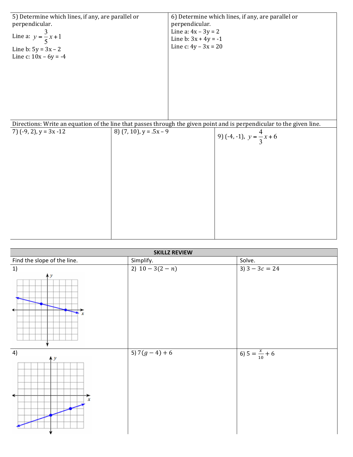| 5) Determine which lines, if any, are parallel or                                                                     |                              |                        | 6) Determine which lines, if any, are parallel or |  |  |  |  |
|-----------------------------------------------------------------------------------------------------------------------|------------------------------|------------------------|---------------------------------------------------|--|--|--|--|
| perpendicular.                                                                                                        |                              | perpendicular.         |                                                   |  |  |  |  |
|                                                                                                                       |                              | Line a: $4x - 3y = 2$  |                                                   |  |  |  |  |
| Line a: $y = \frac{3}{5}x + 1$                                                                                        |                              | Line b: $3x + 4y = -1$ |                                                   |  |  |  |  |
| Line b: $5y = 3x - 2$                                                                                                 |                              | Line c: $4y - 3x = 20$ |                                                   |  |  |  |  |
| Line c: $10x - 6y = -4$                                                                                               |                              |                        |                                                   |  |  |  |  |
|                                                                                                                       |                              |                        |                                                   |  |  |  |  |
|                                                                                                                       |                              |                        |                                                   |  |  |  |  |
|                                                                                                                       |                              |                        |                                                   |  |  |  |  |
|                                                                                                                       |                              |                        |                                                   |  |  |  |  |
|                                                                                                                       |                              |                        |                                                   |  |  |  |  |
|                                                                                                                       |                              |                        |                                                   |  |  |  |  |
|                                                                                                                       |                              |                        |                                                   |  |  |  |  |
|                                                                                                                       |                              |                        |                                                   |  |  |  |  |
| Directions: Write an equation of the line that passes through the given point and is perpendicular to the given line. |                              |                        |                                                   |  |  |  |  |
| 7) $(-9, 2)$ , $y = 3x - 12$                                                                                          | 8) $(7, 10)$ , $y = .5x - 9$ |                        |                                                   |  |  |  |  |
|                                                                                                                       |                              |                        | 9) (-4, -1), $y = \frac{4}{3}x + 6$               |  |  |  |  |
|                                                                                                                       |                              |                        |                                                   |  |  |  |  |
|                                                                                                                       |                              |                        |                                                   |  |  |  |  |
|                                                                                                                       |                              |                        |                                                   |  |  |  |  |
|                                                                                                                       |                              |                        |                                                   |  |  |  |  |
|                                                                                                                       |                              |                        |                                                   |  |  |  |  |
|                                                                                                                       |                              |                        |                                                   |  |  |  |  |
|                                                                                                                       |                              |                        |                                                   |  |  |  |  |
|                                                                                                                       |                              |                        |                                                   |  |  |  |  |
|                                                                                                                       |                              |                        |                                                   |  |  |  |  |
|                                                                                                                       |                              |                        |                                                   |  |  |  |  |
|                                                                                                                       |                              |                        |                                                   |  |  |  |  |
|                                                                                                                       |                              |                        |                                                   |  |  |  |  |
|                                                                                                                       |                              |                        |                                                   |  |  |  |  |

| <b>SKILLZ REVIEW</b>        |                |                           |  |  |
|-----------------------------|----------------|---------------------------|--|--|
| Find the slope of the line. | Simplify.      | Solve.                    |  |  |
| 1)<br>AУ<br>x               | 2) $10-3(2-n)$ | 3) $3 - 3c = 24$          |  |  |
| 4)<br>ĄУ<br>x               | 5) $7(g-4)+6$  | 6) $5 = \frac{x}{10} + 6$ |  |  |